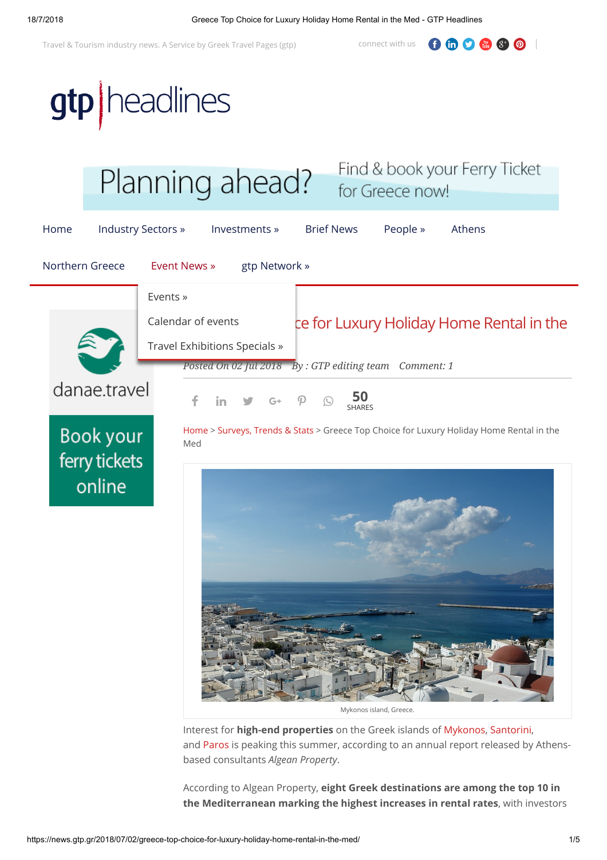Travel & Tourism industry news. A Service by [Greek Travel Pages](https://www.gtp.gr/) (gtp) connect with us

 $0 0 0 0 0$ 

gtp | headlines



Mykonos island, Greece.

Interest for **high-end properties** on the Greek islands of [Mykonos,](http://www.gtp.gr/LocPage.asp?id=12161) [Santorini,](http://www.gtp.gr/LocPage.asp?id=3125) and [Paros](http://www.gtp.gr/LocPage.asp?id=12096) is peaking this summer, according to an annual report released by Athensbased consultants *Algean Property*.

According to Algean Property, **eight Greek destinations are among the top 10 in the Mediterranean marking the highest increases in rental rates**, with investors